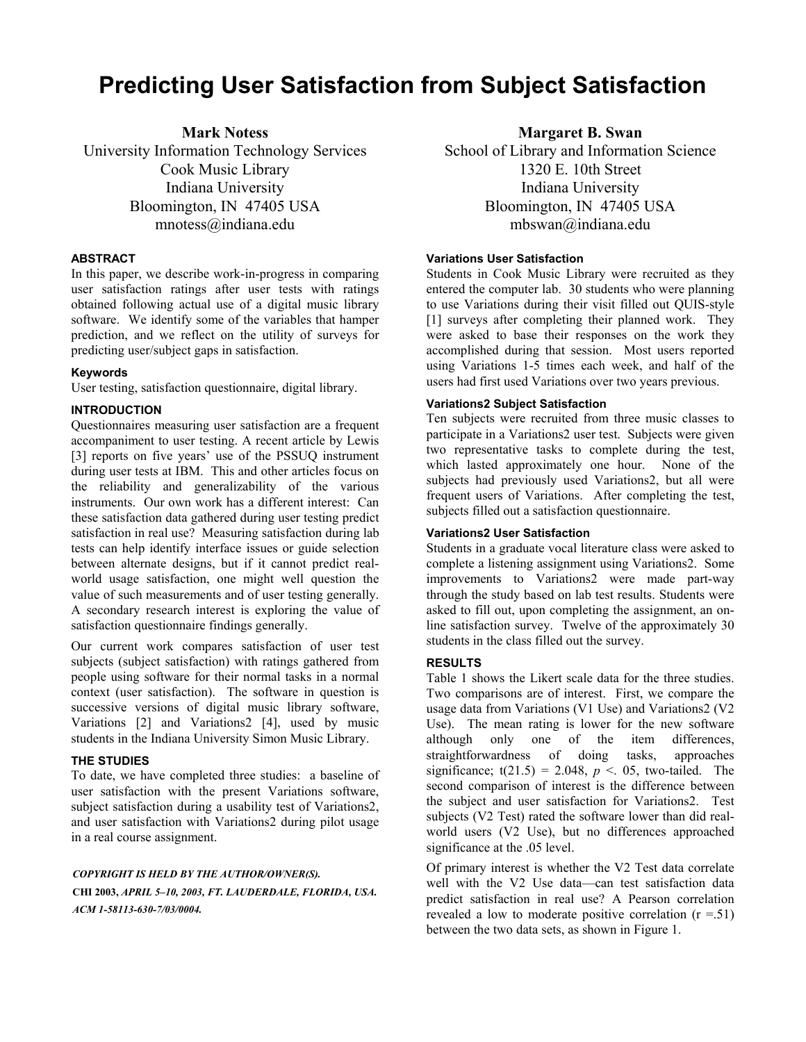# **Predicting User Satisfaction from Subject Satisfaction**

**Mark Notess**  University Information Technology Services Cook Music Library Indiana University Bloomington, IN 47405 USA mnotess@indiana.edu

#### **ABSTRACT**

In this paper, we describe work-in-progress in comparing user satisfaction ratings after user tests with ratings obtained following actual use of a digital music library software. We identify some of the variables that hamper prediction, and we reflect on the utility of surveys for predicting user/subject gaps in satisfaction.

#### **Keywords**

User testing, satisfaction questionnaire, digital library.

#### **INTRODUCTION**

Questionnaires measuring user satisfaction are a frequent accompaniment to user testing. A recent article by Lewis [3] reports on five years' use of the PSSUQ instrument during user tests at IBM. This and other articles focus on the reliability and generalizability of the various instruments. Our own work has a different interest: Can these satisfaction data gathered during user testing predict satisfaction in real use? Measuring satisfaction during lab tests can help identify interface issues or guide selection between alternate designs, but if it cannot predict realworld usage satisfaction, one might well question the value of such measurements and of user testing generally. A secondary research interest is exploring the value of satisfaction questionnaire findings generally.

Our current work compares satisfaction of user test subjects (subject satisfaction) with ratings gathered from people using software for their normal tasks in a normal context (user satisfaction). The software in question is successive versions of digital music library software, Variations [2] and Variations2 [4], used by music students in the Indiana University Simon Music Library.

## **THE STUDIES**

To date, we have completed three studies: a baseline of user satisfaction with the present Variations software, subject satisfaction during a usability test of Variations2, and user satisfaction with Variations2 during pilot usage in a real course assignment.

# *COPYRIGHT IS HELD BY THE AUTHOR/OWNER(S).*  **CHI 2003,** *APRIL 5–10, 2003, FT. LAUDERDALE, FLORIDA, USA. ACM 1-58113-630-7/03/0004.*

**Margaret B. Swan** 

School of Library and Information Science 1320 E. 10th Street Indiana University Bloomington, IN 47405 USA mbswan@indiana.edu

# **Variations User Satisfaction**

Students in Cook Music Library were recruited as they entered the computer lab. 30 students who were planning to use Variations during their visit filled out QUIS-style [1] surveys after completing their planned work. They were asked to base their responses on the work they accomplished during that session. Most users reported using Variations 1-5 times each week, and half of the users had first used Variations over two years previous.

#### **Variations2 Subject Satisfaction**

Ten subjects were recruited from three music classes to participate in a Variations2 user test. Subjects were given two representative tasks to complete during the test, which lasted approximately one hour. None of the subjects had previously used Variations2, but all were frequent users of Variations. After completing the test, subjects filled out a satisfaction questionnaire.

#### **Variations2 User Satisfaction**

Students in a graduate vocal literature class were asked to complete a listening assignment using Variations2. Some improvements to Variations2 were made part-way through the study based on lab test results. Students were asked to fill out, upon completing the assignment, an online satisfaction survey. Twelve of the approximately 30 students in the class filled out the survey.

#### **RESULTS**

Table 1 shows the Likert scale data for the three studies. Two comparisons are of interest. First, we compare the usage data from Variations (V1 Use) and Variations2 (V2 Use). The mean rating is lower for the new software although only one of the item differences, straightforwardness of doing tasks, approaches significance;  $t(21.5) = 2.048$ ,  $p < 0.05$ , two-tailed. The second comparison of interest is the difference between the subject and user satisfaction for Variations2. Test subjects (V2 Test) rated the software lower than did realworld users (V2 Use), but no differences approached significance at the .05 level.

Of primary interest is whether the V2 Test data correlate well with the V2 Use data—can test satisfaction data predict satisfaction in real use? A Pearson correlation revealed a low to moderate positive correlation  $(r = 51)$ between the two data sets, as shown in Figure 1.